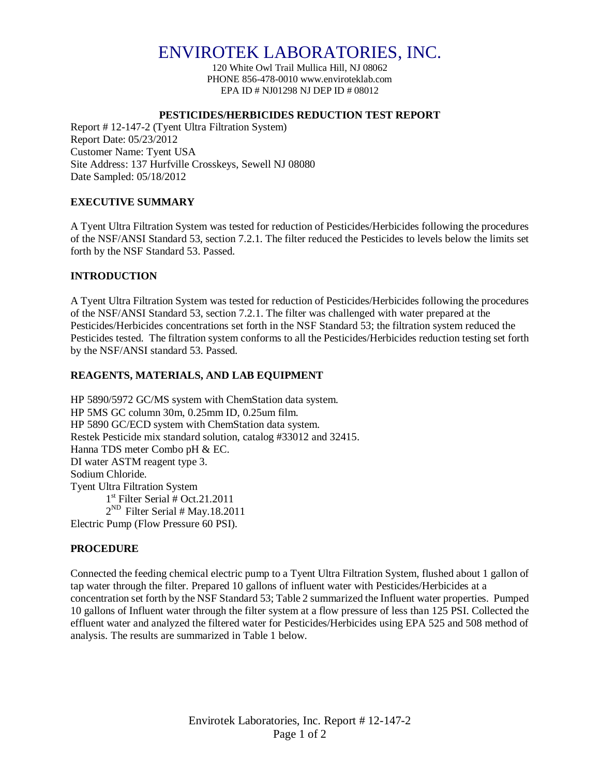# ENVIROTEK LABORATORIES, INC.

120 White Owl Trail Mullica Hill, NJ 08062 PHONE 856-478-0010 www.enviroteklab.com EPA ID # NJ01298 NJ DEP ID # 08012

## **PESTICIDES/HERBICIDES REDUCTION TEST REPORT**

Report # 12-147-2 (Tyent Ultra Filtration System) Report Date: 05/23/2012 Customer Name: Tyent USA Site Address: 137 Hurfville Crosskeys, Sewell NJ 08080 Date Sampled: 05/18/2012

## **EXECUTIVE SUMMARY**

A Tyent Ultra Filtration System was tested for reduction of Pesticides/Herbicides following the procedures of the NSF/ANSI Standard 53, section 7.2.1. The filter reduced the Pesticides to levels below the limits set forth by the NSF Standard 53. Passed.

## **INTRODUCTION**

A Tyent Ultra Filtration System was tested for reduction of Pesticides/Herbicides following the procedures of the NSF/ANSI Standard 53, section 7.2.1. The filter was challenged with water prepared at the Pesticides/Herbicides concentrations set forth in the NSF Standard 53; the filtration system reduced the Pesticides tested. The filtration system conforms to all the Pesticides/Herbicides reduction testing set forth by the NSF/ANSI standard 53. Passed.

## **REAGENTS, MATERIALS, AND LAB EQUIPMENT**

HP 5890/5972 GC/MS system with ChemStation data system. HP 5MS GC column 30m, 0.25mm ID, 0.25um film. HP 5890 GC/ECD system with ChemStation data system. Restek Pesticide mix standard solution, catalog #33012 and 32415. Hanna TDS meter Combo pH & EC. DI water ASTM reagent type 3. Sodium Chloride. Tyent Ultra Filtration System 1 st Filter Serial # Oct.21.2011  $2^{ND}$  Filter Serial # May.18.2011 Electric Pump (Flow Pressure 60 PSI).

## **PROCEDURE**

Connected the feeding chemical electric pump to a Tyent Ultra Filtration System, flushed about 1 gallon of tap water through the filter. Prepared 10 gallons of influent water with Pesticides/Herbicides at a concentration set forth by the NSF Standard 53; Table 2 summarized the Influent water properties. Pumped 10 gallons of Influent water through the filter system at a flow pressure of less than 125 PSI. Collected the effluent water and analyzed the filtered water for Pesticides/Herbicides using EPA 525 and 508 method of analysis. The results are summarized in Table 1 below.